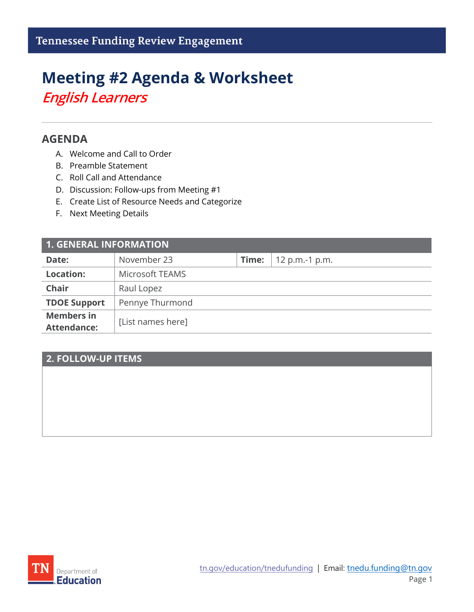# **Meeting #2 Agenda & Worksheet** *English Learners*

## **AGENDA**

- A. Welcome and Call to Order
- B. Preamble Statement
- C. Roll Call and Attendance
- D. Discussion: Follow-ups from Meeting #1
- E. Create List of Resource Needs and Categorize
- F. Next Meeting Details

| <b>1. GENERAL INFORMATION</b>           |                   |       |                |  |
|-----------------------------------------|-------------------|-------|----------------|--|
| Date:                                   | November 23       | Time: | 12 p.m.-1 p.m. |  |
| <b>Location:</b>                        | Microsoft TEAMS   |       |                |  |
| <b>Chair</b>                            | Raul Lopez        |       |                |  |
| <b>TDOE Support</b>                     | Pennye Thurmond   |       |                |  |
| <b>Members in</b><br><b>Attendance:</b> | [List names here] |       |                |  |

## **2. FOLLOW-UP ITEMS**